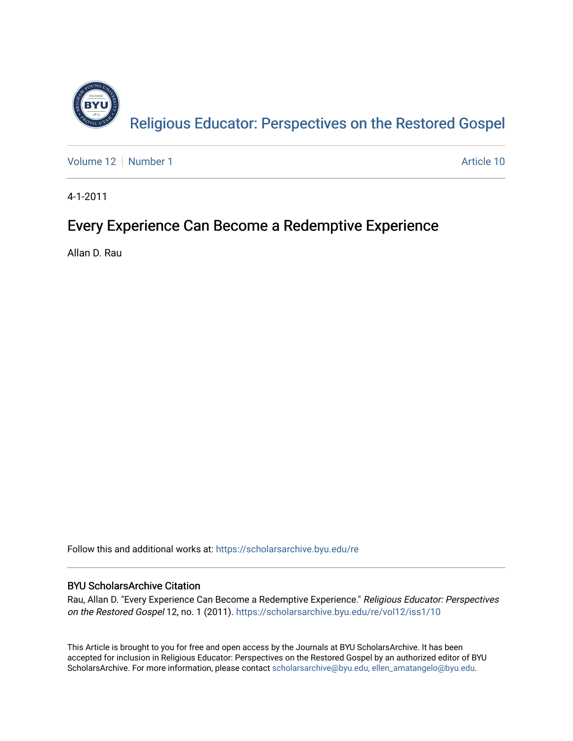

[Volume 12](https://scholarsarchive.byu.edu/re/vol12) [Number 1](https://scholarsarchive.byu.edu/re/vol12/iss1) Article 10

4-1-2011

# Every Experience Can Become a Redemptive Experience

Allan D. Rau

Follow this and additional works at: [https://scholarsarchive.byu.edu/re](https://scholarsarchive.byu.edu/re?utm_source=scholarsarchive.byu.edu%2Fre%2Fvol12%2Fiss1%2F10&utm_medium=PDF&utm_campaign=PDFCoverPages)

## BYU ScholarsArchive Citation

Rau, Allan D. "Every Experience Can Become a Redemptive Experience." Religious Educator: Perspectives on the Restored Gospel 12, no. 1 (2011). [https://scholarsarchive.byu.edu/re/vol12/iss1/10](https://scholarsarchive.byu.edu/re/vol12/iss1/10?utm_source=scholarsarchive.byu.edu%2Fre%2Fvol12%2Fiss1%2F10&utm_medium=PDF&utm_campaign=PDFCoverPages)

This Article is brought to you for free and open access by the Journals at BYU ScholarsArchive. It has been accepted for inclusion in Religious Educator: Perspectives on the Restored Gospel by an authorized editor of BYU ScholarsArchive. For more information, please contact [scholarsarchive@byu.edu, ellen\\_amatangelo@byu.edu.](mailto:scholarsarchive@byu.edu,%20ellen_amatangelo@byu.edu)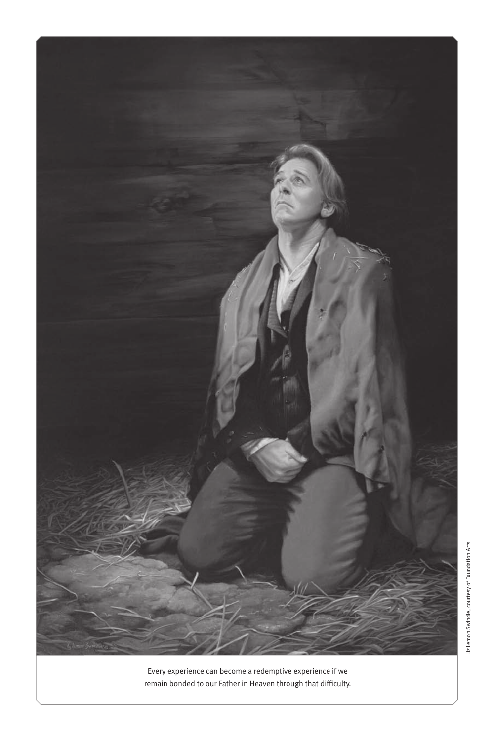

Every experience can become a redemptive experience if we remain bonded to our Father in Heaven through that difficulty.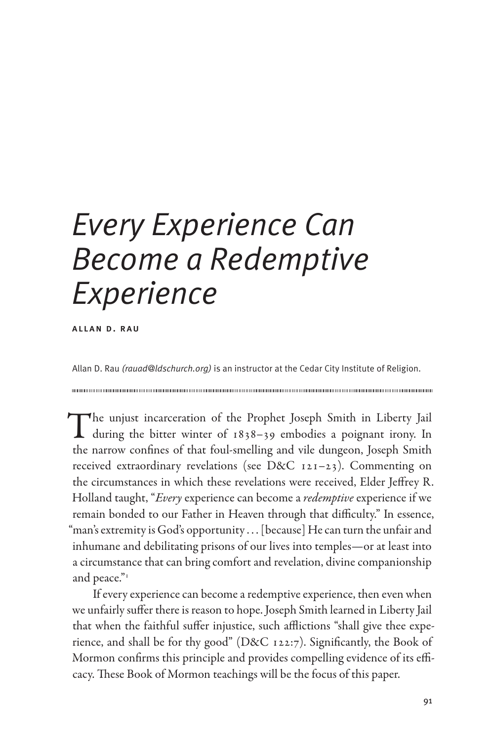# *Every Experience Can Become a Redemptive Experience*

allan d. rau

Allan D. Rau *(rauad@ldschurch.org)* is an instructor at the Cedar City Institute of Religion.

The unjust incarceration of the Prophet Joseph Smith in Liberty Jail during the bitter winter of 1838–39 embodies a poignant irony. In the narrow confines of that foul-smelling and vile dungeon, Joseph Smith received extraordinary revelations (see D&C 121–23). Commenting on the circumstances in which these revelations were received, Elder Jeffrey R. Holland taught, "*Every* experience can become a *redemptive* experience if we remain bonded to our Father in Heaven through that difficulty." In essence, "man's extremity is God's opportunity . . . [because] He can turn the unfair and inhumane and debilitating prisons of our lives into temples—or at least into a circumstance that can bring comfort and revelation, divine companionship and peace."

If every experience can become a redemptive experience, then even when we unfairly suffer there is reason to hope. Joseph Smith learned in Liberty Jail that when the faithful suffer injustice, such afflictions "shall give thee experience, and shall be for thy good" (D&C 122:7). Significantly, the Book of Mormon confirms this principle and provides compelling evidence of its efficacy. These Book of Mormon teachings will be the focus of this paper.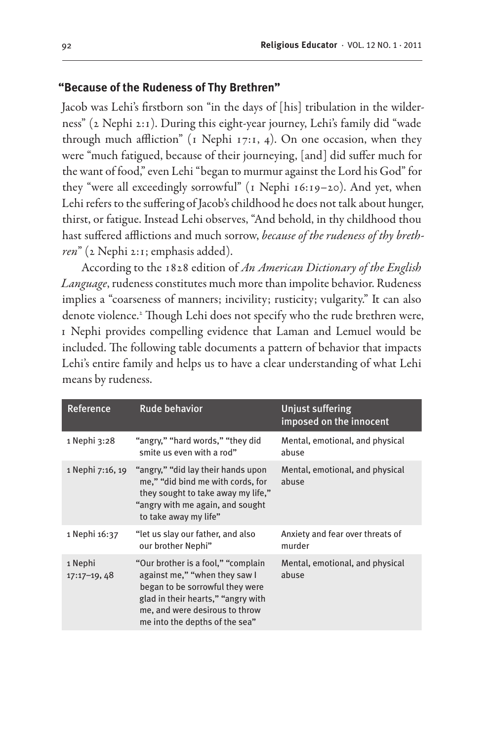### **"Because of the Rudeness of Thy Brethren"**

Jacob was Lehi's firstborn son "in the days of [his] tribulation in the wilderness" (2 Nephi 2:1). During this eight-year journey, Lehi's family did "wade through much affliction" (1 Nephi 17:1, 4). On one occasion, when they were "much fatigued, because of their journeying, [and] did suffer much for the want of food," even Lehi "began to murmur against the Lord his God" for they "were all exceedingly sorrowful" (1 Nephi 16:19-20). And yet, when Lehi refers to the suffering of Jacob's childhood he does not talk about hunger, thirst, or fatigue. Instead Lehi observes, "And behold, in thy childhood thou hast suffered afflictions and much sorrow, *because of the rudeness of thy brethren*" (2 Nephi 2:1; emphasis added).

According to the 1828 edition of *An American Dictionary of the English Language*, rudeness constitutes much more than impolite behavior. Rudeness implies a "coarseness of manners; incivility; rusticity; vulgarity." It can also denote violence.2 Though Lehi does not specify who the rude brethren were, 1 Nephi provides compelling evidence that Laman and Lemuel would be included. The following table documents a pattern of behavior that impacts Lehi's entire family and helps us to have a clear understanding of what Lehi means by rudeness.

| Reference                | <b>Rude behavior</b>                                                                                                                                                                                             | <b>Unjust suffering</b><br>imposed on the innocent |
|--------------------------|------------------------------------------------------------------------------------------------------------------------------------------------------------------------------------------------------------------|----------------------------------------------------|
| 1 Nephi 3:28             | "angry," "hard words," "they did<br>smite us even with a rod"                                                                                                                                                    | Mental, emotional, and physical<br>abuse           |
| 1 Nephi 7:16, 19         | "angry," "did lay their hands upon<br>me," "did bind me with cords, for<br>they sought to take away my life,"<br>"angry with me again, and sought<br>to take away my life"                                       | Mental, emotional, and physical<br>abuse           |
| 1 Nephi 16:37            | "let us slay our father, and also<br>our brother Nephi"                                                                                                                                                          | Anxiety and fear over threats of<br>murder         |
| 1 Nephi<br>$17:17-19,48$ | "Our brother is a fool," "complain<br>against me," "when they saw I<br>began to be sorrowful they were<br>glad in their hearts," "angry with<br>me, and were desirous to throw<br>me into the depths of the sea" | Mental, emotional, and physical<br>abuse           |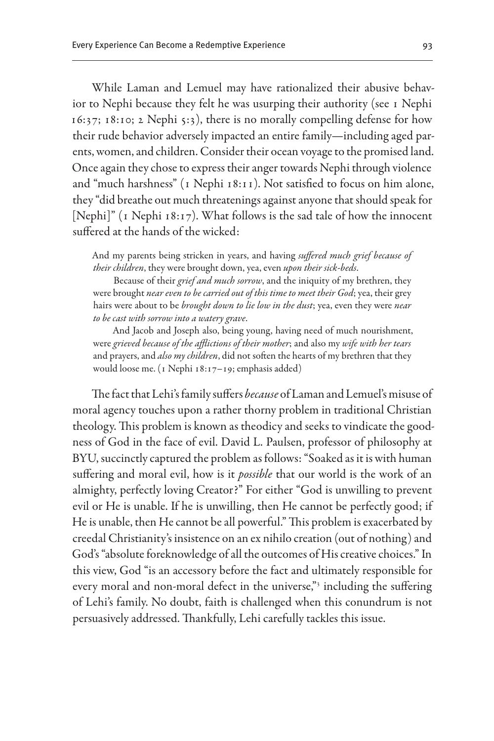While Laman and Lemuel may have rationalized their abusive behavior to Nephi because they felt he was usurping their authority (see 1 Nephi 16:37; 18:10; 2 Nephi 5:3), there is no morally compelling defense for how their rude behavior adversely impacted an entire family—including aged parents, women, and children. Consider their ocean voyage to the promised land. Once again they chose to express their anger towards Nephi through violence and "much harshness" (1 Nephi 18:11). Not satisfied to focus on him alone, they "did breathe out much threatenings against anyone that should speak for [Nephi]" (1 Nephi 18:17). What follows is the sad tale of how the innocent suffered at the hands of the wicked:

And my parents being stricken in years, and having *suffered much grief because of their children*, they were brought down, yea, even *upon their sick-beds*.

Because of their *grief and much sorrow*, and the iniquity of my brethren, they were brought *near even to be carried out of this time to meet their God*; yea, their grey hairs were about to be *brought down to lie low in the dust*; yea, even they were *near to be cast with sorrow into a watery grave*.

And Jacob and Joseph also, being young, having need of much nourishment, were *grieved because of the afflictions of their mother*; and also my *wife with her tears* and prayers, and *also my children*, did not soften the hearts of my brethren that they would loose me. (1 Nephi 18:17–19; emphasis added)

The fact that Lehi's family suffers *because* of Laman and Lemuel's misuse of moral agency touches upon a rather thorny problem in traditional Christian theology. This problem is known as theodicy and seeks to vindicate the goodness of God in the face of evil. David L. Paulsen, professor of philosophy at BYU, succinctly captured the problem as follows: "Soaked as it is with human suffering and moral evil, how is it *possible* that our world is the work of an almighty, perfectly loving Creator?" For either "God is unwilling to prevent evil or He is unable. If he is unwilling, then He cannot be perfectly good; if He is unable, then He cannot be all powerful." This problem is exacerbated by creedal Christianity's insistence on an ex nihilo creation (out of nothing) and God's "absolute foreknowledge of all the outcomes of His creative choices." In this view, God "is an accessory before the fact and ultimately responsible for every moral and non-moral defect in the universe,"<sup>3</sup> including the suffering of Lehi's family. No doubt, faith is challenged when this conundrum is not persuasively addressed. Thankfully, Lehi carefully tackles this issue.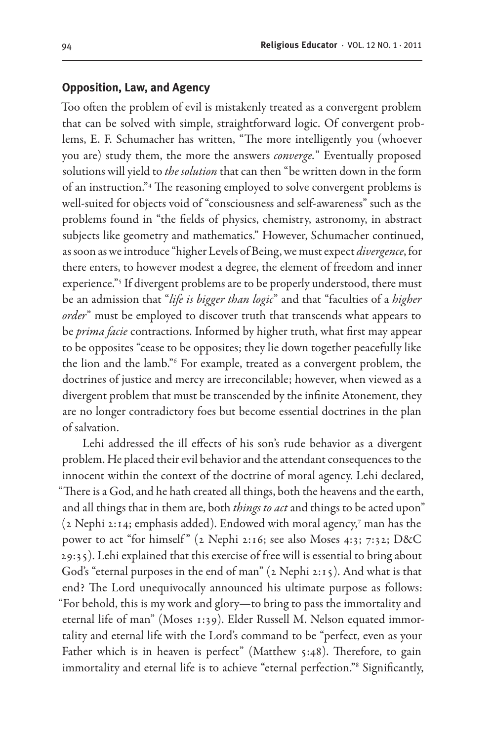#### **Opposition, Law, and Agency**

Too often the problem of evil is mistakenly treated as a convergent problem that can be solved with simple, straightforward logic. Of convergent problems, E. F. Schumacher has written, "The more intelligently you (whoever you are) study them, the more the answers *converge.*" Eventually proposed solutions will yield to *the solution* that can then "be written down in the form of an instruction."4 The reasoning employed to solve convergent problems is well-suited for objects void of "consciousness and self-awareness" such as the problems found in "the fields of physics, chemistry, astronomy, in abstract subjects like geometry and mathematics." However, Schumacher continued, as soon as we introduce "higher Levels of Being, we must expect *divergence*, for there enters, to however modest a degree, the element of freedom and inner experience."<sup>5</sup> If divergent problems are to be properly understood, there must be an admission that "*life is bigger than logic*" and that "faculties of a *higher order*" must be employed to discover truth that transcends what appears to be *prima facie* contractions. Informed by higher truth, what first may appear to be opposites "cease to be opposites; they lie down together peacefully like the lion and the lamb."6 For example, treated as a convergent problem, the doctrines of justice and mercy are irreconcilable; however, when viewed as a divergent problem that must be transcended by the infinite Atonement, they are no longer contradictory foes but become essential doctrines in the plan of salvation.

Lehi addressed the ill effects of his son's rude behavior as a divergent problem. He placed their evil behavior and the attendant consequences to the innocent within the context of the doctrine of moral agency. Lehi declared, "There is a God, and he hath created all things, both the heavens and the earth, and all things that in them are, both *things to act* and things to be acted upon" (2 Nephi 2:14; emphasis added). Endowed with moral agency,7 man has the power to act "for himself" (2 Nephi 2:16; see also Moses 4:3; 7:32; D&C 29:35). Lehi explained that this exercise of free will is essential to bring about God's "eternal purposes in the end of man" (2 Nephi 2:15). And what is that end? The Lord unequivocally announced his ultimate purpose as follows: "For behold, this is my work and glory—to bring to pass the immortality and eternal life of man" (Moses 1:39). Elder Russell M. Nelson equated immortality and eternal life with the Lord's command to be "perfect, even as your Father which is in heaven is perfect" (Matthew 5:48). Therefore, to gain immortality and eternal life is to achieve "eternal perfection."8 Significantly,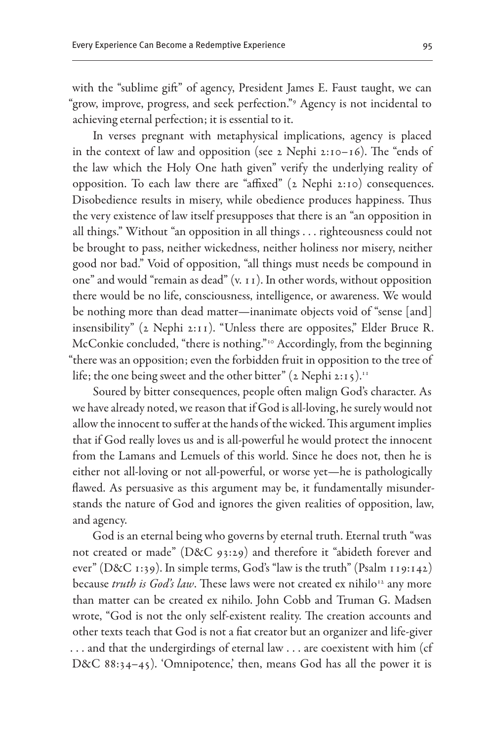with the "sublime gift" of agency, President James E. Faust taught, we can "grow, improve, progress, and seek perfection."9 Agency is not incidental to achieving eternal perfection; it is essential to it.

In verses pregnant with metaphysical implications, agency is placed in the context of law and opposition (see 2 Nephi 2:10–16). The "ends of the law which the Holy One hath given" verify the underlying reality of opposition. To each law there are "affixed" (2 Nephi 2:10) consequences. Disobedience results in misery, while obedience produces happiness. Thus the very existence of law itself presupposes that there is an "an opposition in all things." Without "an opposition in all things . . . righteousness could not be brought to pass, neither wickedness, neither holiness nor misery, neither good nor bad." Void of opposition, "all things must needs be compound in one" and would "remain as dead" (v. 11). In other words, without opposition there would be no life, consciousness, intelligence, or awareness. We would be nothing more than dead matter—inanimate objects void of "sense [and] insensibility" (2 Nephi 2:11). "Unless there are opposites," Elder Bruce R. McConkie concluded, "there is nothing."<sup>10</sup> Accordingly, from the beginning "there was an opposition; even the forbidden fruit in opposition to the tree of life; the one being sweet and the other bitter"  $(2 \text{ Nephi } 2:15)$ .<sup>11</sup>

Soured by bitter consequences, people often malign God's character. As we have already noted, we reason that if God is all-loving, he surely would not allow the innocent to suffer at the hands of the wicked. This argument implies that if God really loves us and is all-powerful he would protect the innocent from the Lamans and Lemuels of this world. Since he does not, then he is either not all-loving or not all-powerful, or worse yet—he is pathologically flawed. As persuasive as this argument may be, it fundamentally misunderstands the nature of God and ignores the given realities of opposition, law, and agency.

God is an eternal being who governs by eternal truth. Eternal truth "was not created or made" (D&C 93:29) and therefore it "abideth forever and ever" (D&C 1:39). In simple terms, God's "law is the truth" (Psalm 119:142) because *truth is God's law*. These laws were not created ex nihilo<sup>12</sup> any more than matter can be created ex nihilo. John Cobb and Truman G. Madsen wrote, "God is not the only self-existent reality. The creation accounts and other texts teach that God is not a fiat creator but an organizer and life-giver ... and that the undergirdings of eternal law ... are coexistent with him (cf D&C 88:34-45). 'Omnipotence,' then, means God has all the power it is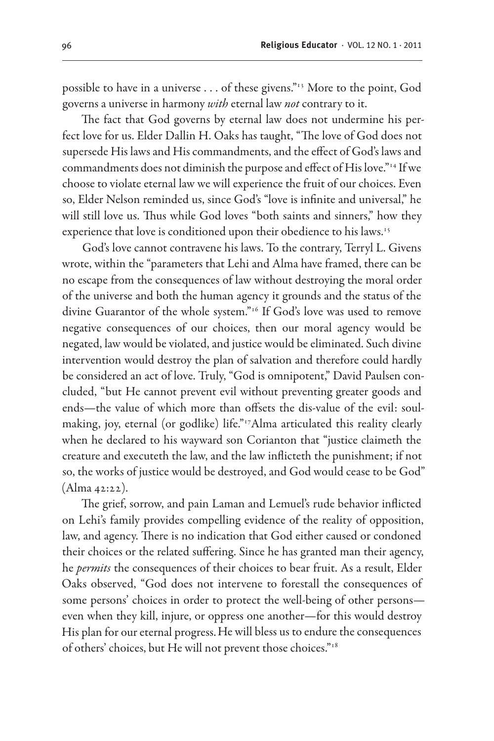possible to have in a universe . . . of these givens."13 More to the point, God governs a universe in harmony *with* eternal law *not* contrary to it.

The fact that God governs by eternal law does not undermine his perfect love for us. Elder Dallin H. Oaks has taught, "The love of God does not supersede His laws and His commandments, and the effect of God's laws and commandments does not diminish the purpose and effect of His love."14 If we choose to violate eternal law we will experience the fruit of our choices. Even so, Elder Nelson reminded us, since God's "love is infinite and universal." he will still love us. Thus while God loves "both saints and sinners," how they experience that love is conditioned upon their obedience to his laws.<sup>15</sup>

God's love cannot contravene his laws. To the contrary, Terryl L. Givens wrote, within the "parameters that Lehi and Alma have framed, there can be no escape from the consequences of law without destroying the moral order of the universe and both the human agency it grounds and the status of the divine Guarantor of the whole system."16 If God's love was used to remove negative consequences of our choices, then our moral agency would be negated, law would be violated, and justice would be eliminated. Such divine intervention would destroy the plan of salvation and therefore could hardly be considered an act of love. Truly, "God is omnipotent," David Paulsen concluded, "but He cannot prevent evil without preventing greater goods and ends—the value of which more than offsets the dis-value of the evil: soulmaking, joy, eternal (or godlike) life."17Alma articulated this reality clearly when he declared to his wayward son Corianton that "justice claimeth the creature and executeth the law, and the law inflicteth the punishment; if not so, the works of justice would be destroyed, and God would cease to be God" (Alma 42:22).

The grief, sorrow, and pain Laman and Lemuel's rude behavior inflicted on Lehi's family provides compelling evidence of the reality of opposition, law, and agency. There is no indication that God either caused or condoned their choices or the related suffering. Since he has granted man their agency, he *permits* the consequences of their choices to bear fruit. As a result, Elder Oaks observed, "God does not intervene to forestall the consequences of some persons' choices in order to protect the well-being of other persons even when they kill, injure, or oppress one another—for this would destroy His plan for our eternal progress.He will bless us to endure the consequences of others' choices, but He will not prevent those choices."18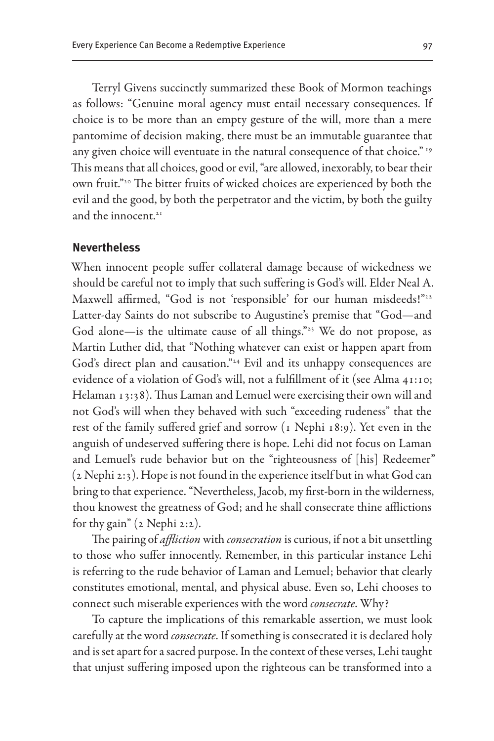Terryl Givens succinctly summarized these Book of Mormon teachings as follows: "Genuine moral agency must entail necessary consequences. If choice is to be more than an empty gesture of the will, more than a mere pantomime of decision making, there must be an immutable guarantee that any given choice will eventuate in the natural consequence of that choice." 19 This means that all choices, good or evil, "are allowed, inexorably, to bear their own fruit."20 The bitter fruits of wicked choices are experienced by both the evil and the good, by both the perpetrator and the victim, by both the guilty and the innocent. $21$ 

#### **Nevertheless**

When innocent people suffer collateral damage because of wickedness we should be careful not to imply that such suffering is God's will. Elder Neal A. Maxwell affirmed, "God is not 'responsible' for our human misdeeds!"<sup>22</sup> Latter-day Saints do not subscribe to Augustine's premise that "God—and God alone-is the ultimate cause of all things."<sup>23</sup> We do not propose, as Martin Luther did, that "Nothing whatever can exist or happen apart from God's direct plan and causation."<sup>24</sup> Evil and its unhappy consequences are evidence of a violation of God's will, not a fulfillment of it (see Alma 41:10; Helaman 13:38). Thus Laman and Lemuel were exercising their own will and not God's will when they behaved with such "exceeding rudeness" that the rest of the family suffered grief and sorrow (1 Nephi 18:9). Yet even in the anguish of undeserved suffering there is hope. Lehi did not focus on Laman and Lemuel's rude behavior but on the "righteousness of [his] Redeemer" (2 Nephi 2:3). Hope is not found in the experience itself but in what God can bring to that experience. "Nevertheless, Jacob, my first-born in the wilderness, thou knowest the greatness of God; and he shall consecrate thine afflictions for thy gain" (2 Nephi 2:2).

The pairing of *affliction* with *consecration* is curious, if not a bit unsettling to those who suffer innocently. Remember, in this particular instance Lehi is referring to the rude behavior of Laman and Lemuel; behavior that clearly constitutes emotional, mental, and physical abuse. Even so, Lehi chooses to connect such miserable experiences with the word *consecrate*. Why?

To capture the implications of this remarkable assertion, we must look carefully at the word *consecrate*. If something is consecrated it is declared holy and is set apart for a sacred purpose. In the context of these verses, Lehi taught that unjust suffering imposed upon the righteous can be transformed into a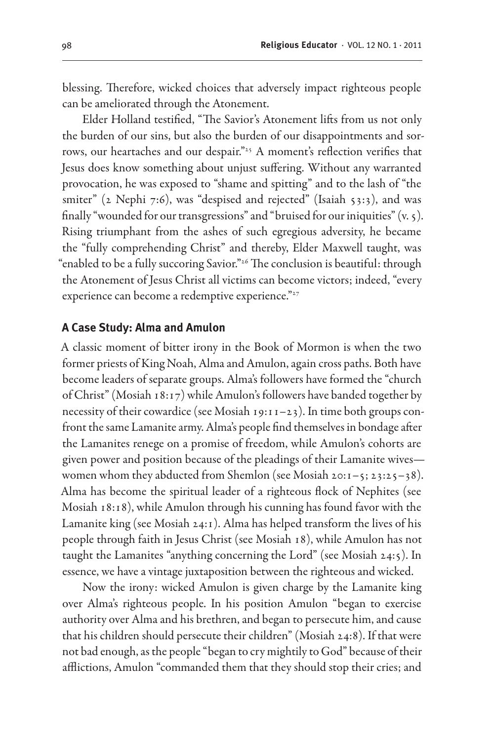blessing. Therefore, wicked choices that adversely impact righteous people can be ameliorated through the Atonement.

Elder Holland testified, "The Savior's Atonement lifts from us not only the burden of our sins, but also the burden of our disappointments and sorrows, our heartaches and our despair."25 A moment's reflection verifies that Jesus does know something about unjust suffering. Without any warranted provocation, he was exposed to "shame and spitting" and to the lash of "the smiter" ( $2$  Nephi 7:6), was "despised and rejected" (Isaiah 53:3), and was finally "wounded for our transgressions" and "bruised for our iniquities"  $(v, \zeta)$ . Rising triumphant from the ashes of such egregious adversity, he became the "fully comprehending Christ" and thereby, Elder Maxwell taught, was "enabled to be a fully succoring Savior."26 The conclusion is beautiful: through the Atonement of Jesus Christ all victims can become victors; indeed, "every experience can become a redemptive experience."<sup>27</sup>

#### **A Case Study: Alma and Amulon**

A classic moment of bitter irony in the Book of Mormon is when the two former priests of King Noah, Alma and Amulon, again cross paths. Both have become leaders of separate groups. Alma's followers have formed the "church of Christ" (Mosiah 18:17) while Amulon's followers have banded together by necessity of their cowardice (see Mosiah 19:11–23). In time both groups confront the same Lamanite army. Alma's people find themselves in bondage after the Lamanites renege on a promise of freedom, while Amulon's cohorts are given power and position because of the pleadings of their Lamanite wives women whom they abducted from Shemlon (see Mosiah 20:1–5; 23:25–38). Alma has become the spiritual leader of a righteous flock of Nephites (see Mosiah 18:18), while Amulon through his cunning has found favor with the Lamanite king (see Mosiah 24:1). Alma has helped transform the lives of his people through faith in Jesus Christ (see Mosiah 18), while Amulon has not taught the Lamanites "anything concerning the Lord" (see Mosiah 24:5). In essence, we have a vintage juxtaposition between the righteous and wicked.

Now the irony: wicked Amulon is given charge by the Lamanite king over Alma's righteous people. In his position Amulon "began to exercise authority over Alma and his brethren, and began to persecute him, and cause that his children should persecute their children" (Mosiah 24:8). If that were not bad enough, as the people "began to cry mightily to God" because of their afflictions, Amulon "commanded them that they should stop their cries; and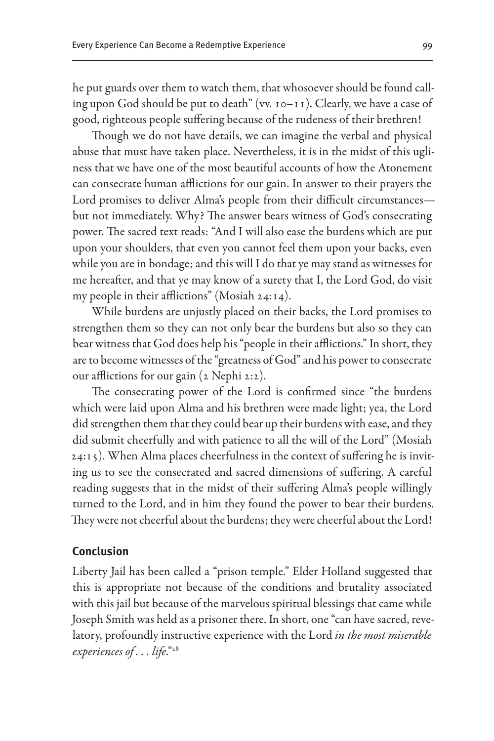he put guards over them to watch them, that whosoever should be found calling upon God should be put to death" (vv. 10–11). Clearly, we have a case of good, righteous people suffering because of the rudeness of their brethren!

Though we do not have details, we can imagine the verbal and physical abuse that must have taken place. Nevertheless, it is in the midst of this ugliness that we have one of the most beautiful accounts of how the Atonement can consecrate human afflictions for our gain. In answer to their prayers the Lord promises to deliver Alma's people from their difficult circumstances but not immediately. Why? The answer bears witness of God's consecrating power. The sacred text reads: "And I will also ease the burdens which are put upon your shoulders, that even you cannot feel them upon your backs, even while you are in bondage; and this will I do that ye may stand as witnesses for me hereafter, and that ye may know of a surety that I, the Lord God, do visit my people in their afflictions" (Mosiah 24:14).

While burdens are unjustly placed on their backs, the Lord promises to strengthen them so they can not only bear the burdens but also so they can bear witness that God does help his "people in their afflictions." In short, they are to become witnesses of the "greatness of God" and his power to consecrate our afflictions for our gain (2 Nephi 2:2).

The consecrating power of the Lord is confirmed since "the burdens which were laid upon Alma and his brethren were made light; yea, the Lord did strengthen them that they could bear up their burdens with ease, and they did submit cheerfully and with patience to all the will of the Lord" (Mosiah 24:15). When Alma places cheerfulness in the context of suffering he is inviting us to see the consecrated and sacred dimensions of suffering. A careful reading suggests that in the midst of their suffering Alma's people willingly turned to the Lord, and in him they found the power to bear their burdens. They were not cheerful about the burdens; they were cheerful about the Lord!

#### **Conclusion**

Liberty Jail has been called a "prison temple." Elder Holland suggested that this is appropriate not because of the conditions and brutality associated with this jail but because of the marvelous spiritual blessings that came while Joseph Smith was held as a prisoner there. In short, one "can have sacred, revelatory, profoundly instructive experience with the Lord *in the most miserable experiences of . . . life*."28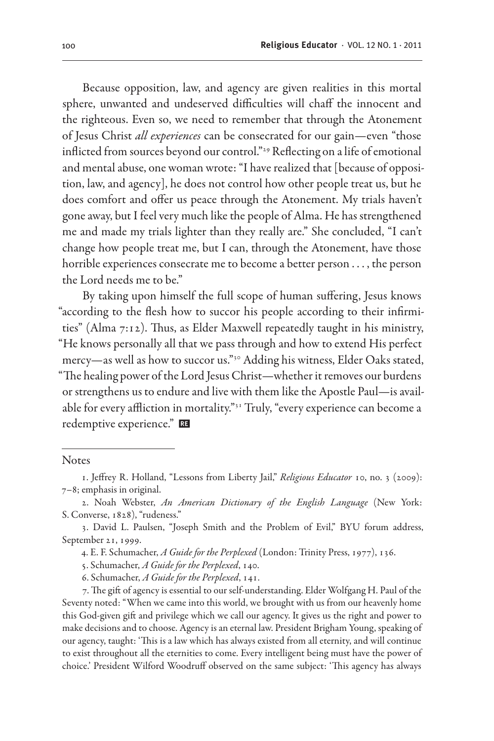Because opposition, law, and agency are given realities in this mortal sphere, unwanted and undeserved difficulties will chaff the innocent and the righteous. Even so, we need to remember that through the Atonement of Jesus Christ *all experiences* can be consecrated for our gain—even "those inflicted from sources beyond our control."<sup>29</sup> Reflecting on a life of emotional and mental abuse, one woman wrote: "I have realized that [because of opposition, law, and agency], he does not control how other people treat us, but he does comfort and offer us peace through the Atonement. My trials haven't gone away, but I feel very much like the people of Alma. He has strengthened me and made my trials lighter than they really are." She concluded, "I can't change how people treat me, but I can, through the Atonement, have those horrible experiences consecrate me to become a better person . . . , the person the Lord needs me to be."

By taking upon himself the full scope of human suffering, Jesus knows "according to the flesh how to succor his people according to their infirmities" (Alma 7:12). Thus, as Elder Maxwell repeatedly taught in his ministry, "He knows personally all that we pass through and how to extend His perfect mercy—as well as how to succor us."30 Adding his witness, Elder Oaks stated, "The healing power of the Lord Jesus Christ—whether it removes our burdens or strengthens us to endure and live with them like the Apostle Paul—is available for every affliction in mortality."31 Truly, "every experience can become a redemptive experience."

**Notes** 

6. Schumacher, *A Guide for the Perplexed*, 141.

7. The gift of agency is essential to our self-understanding. Elder Wolfgang H. Paul of the Seventy noted: "When we came into this world, we brought with us from our heavenly home this God-given gift and privilege which we call our agency. It gives us the right and power to make decisions and to choose. Agency is an eternal law. President Brigham Young, speaking of our agency, taught: 'This is a law which has always existed from all eternity, and will continue to exist throughout all the eternities to come. Every intelligent being must have the power of choice.' President Wilford Woodruff observed on the same subject: 'This agency has always

<sup>1.</sup> Jeffrey R. Holland, "Lessons from Liberty Jail," *Religious Educator* 10, no. 3 (2009): 7–8; emphasis in original.

<sup>2.</sup> Noah Webster, *An American Dictionary of the English Language* (New York: S. Converse, 1828), "rudeness."

<sup>3.</sup> David L. Paulsen, "Joseph Smith and the Problem of Evil," BYU forum address, September 21, 1999.

<sup>4.</sup> E. F. Schumacher, *A Guide for the Perplexed* (London: Trinity Press, 1977), 136.

<sup>5.</sup> Schumacher, *A Guide for the Perplexed*, 140.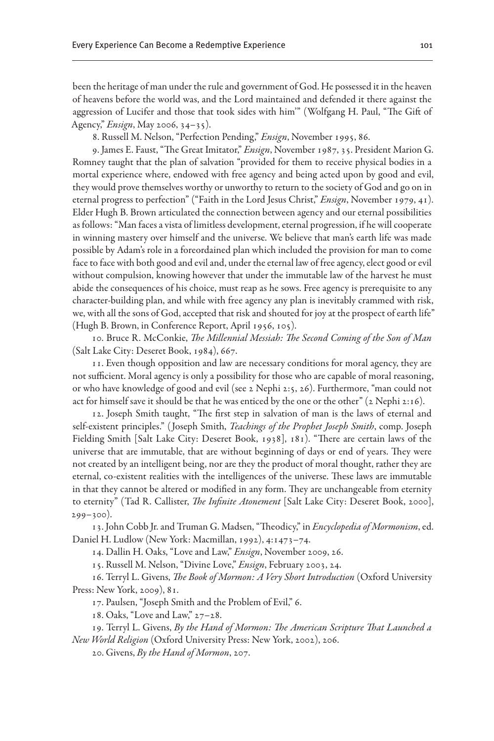been the heritage of man under the rule and government of God. He possessed it in the heaven of heavens before the world was, and the Lord maintained and defended it there against the aggression of Lucifer and those that took sides with him'" (Wolfgang H. Paul, "The Gift of Agency," *Ensign*, May 2006, 34–35).

8. Russell M. Nelson, "Perfection Pending," *Ensign*, November 1995, 86.

9. James E. Faust, "The Great Imitator," *Ensign*, November 1987, 35. President Marion G. Romney taught that the plan of salvation "provided for them to receive physical bodies in a mortal experience where, endowed with free agency and being acted upon by good and evil, they would prove themselves worthy or unworthy to return to the society of God and go on in eternal progress to perfection" ("Faith in the Lord Jesus Christ," *Ensign*, November 1979, 41). Elder Hugh B. Brown articulated the connection between agency and our eternal possibilities as follows: "Man faces a vista of limitless development, eternal progression, if he will cooperate in winning mastery over himself and the universe. We believe that man's earth life was made possible by Adam's role in a foreordained plan which included the provision for man to come face to face with both good and evil and, under the eternal law of free agency, elect good or evil without compulsion, knowing however that under the immutable law of the harvest he must abide the consequences of his choice, must reap as he sows. Free agency is prerequisite to any character-building plan, and while with free agency any plan is inevitably crammed with risk, we, with all the sons of God, accepted that risk and shouted for joy at the prospect of earth life" (Hugh B. Brown, in Conference Report, April 1956, 105).

10. Bruce R. McConkie, *The Millennial Messiah: The Second Coming of the Son of Man* (Salt Lake City: Deseret Book, 1984), 667.

11. Even though opposition and law are necessary conditions for moral agency, they are not sufficient. Moral agency is only a possibility for those who are capable of moral reasoning, or who have knowledge of good and evil (see 2 Nephi 2:5, 26). Furthermore, "man could not act for himself save it should be that he was enticed by the one or the other" (2 Nephi 2:16).

12. Joseph Smith taught, "The first step in salvation of man is the laws of eternal and self-existent principles." ( Joseph Smith, *Teachings of the Prophet Joseph Smith*, comp. Joseph Fielding Smith [Salt Lake City: Deseret Book, 1938], 181). "There are certain laws of the universe that are immutable, that are without beginning of days or end of years. They were not created by an intelligent being, nor are they the product of moral thought, rather they are eternal, co-existent realities with the intelligences of the universe. These laws are immutable in that they cannot be altered or modified in any form. They are unchangeable from eternity to eternity" (Tad R. Callister, *The Infinite Atonement* [Salt Lake City: Deseret Book, 2000], 299–300).

13. John Cobb Jr. and Truman G. Madsen, "Theodicy," in *Encyclopedia of Mormonism*, ed. Daniel H. Ludlow (New York: Macmillan, 1992), 4:1473–74.

14. Dallin H. Oaks, "Love and Law," *Ensign*, November 2009, 26.

15. Russell M. Nelson, "Divine Love," *Ensign*, February 2003, 24.

16. Terryl L. Givens, *The Book of Mormon: A Very Short Introduction* (Oxford University Press: New York, 2009), 81.

17. Paulsen, "Joseph Smith and the Problem of Evil," 6.

18. Oaks, "Love and Law," 27–28.

19. Terryl L. Givens, *By the Hand of Mormon: The American Scripture That Launched a New World Religion* (Oxford University Press: New York, 2002), 206.

20. Givens, *By the Hand of Mormon*, 207.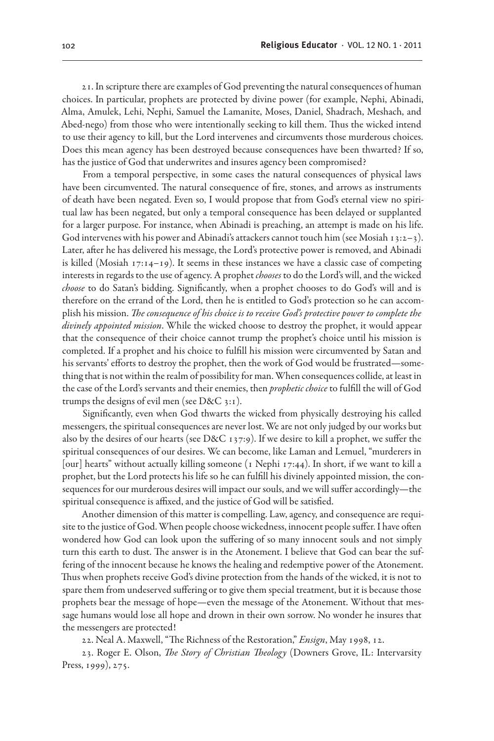21. In scripture there are examples of God preventing the natural consequences of human choices. In particular, prophets are protected by divine power (for example, Nephi, Abinadi, Alma, Amulek, Lehi, Nephi, Samuel the Lamanite, Moses, Daniel, Shadrach, Meshach, and Abed-nego) from those who were intentionally seeking to kill them. Thus the wicked intend to use their agency to kill, but the Lord intervenes and circumvents those murderous choices. Does this mean agency has been destroyed because consequences have been thwarted? If so, has the justice of God that underwrites and insures agency been compromised?

From a temporal perspective, in some cases the natural consequences of physical laws have been circumvented. The natural consequence of fire, stones, and arrows as instruments of death have been negated. Even so, I would propose that from God's eternal view no spiritual law has been negated, but only a temporal consequence has been delayed or supplanted for a larger purpose. For instance, when Abinadi is preaching, an attempt is made on his life. God intervenes with his power and Abinadi's attackers cannot touch him (see Mosiah 13:2–3). Later, after he has delivered his message, the Lord's protective power is removed, and Abinadi is killed (Mosiah  $17:14-19$ ). It seems in these instances we have a classic case of competing interests in regards to the use of agency. A prophet *chooses* to do the Lord's will, and the wicked *choose* to do Satan's bidding. Significantly, when a prophet chooses to do God's will and is therefore on the errand of the Lord, then he is entitled to God's protection so he can accomplish his mission. *The consequence of his choice is to receive God's protective power to complete the divinely appointed mission*. While the wicked choose to destroy the prophet, it would appear that the consequence of their choice cannot trump the prophet's choice until his mission is completed. If a prophet and his choice to fulfill his mission were circumvented by Satan and his servants' efforts to destroy the prophet, then the work of God would be frustrated—something that is not within the realm of possibility for man. When consequences collide, at least in the case of the Lord's servants and their enemies, then *prophetic choice* to fulfill the will of God trumps the designs of evil men (see D&C 3:1).

Significantly, even when God thwarts the wicked from physically destroying his called messengers, the spiritual consequences are never lost. We are not only judged by our works but also by the desires of our hearts (see D&C 137:9). If we desire to kill a prophet, we suffer the spiritual consequences of our desires. We can become, like Laman and Lemuel, "murderers in [our] hearts" without actually killing someone (1 Nephi 17:44). In short, if we want to kill a prophet, but the Lord protects his life so he can fulfill his divinely appointed mission, the consequences for our murderous desires will impact our souls, and we will suffer accordingly—the spiritual consequence is affixed, and the justice of God will be satisfied.

Another dimension of this matter is compelling. Law, agency, and consequence are requisite to the justice of God. When people choose wickedness, innocent people suffer. I have often wondered how God can look upon the suffering of so many innocent souls and not simply turn this earth to dust. The answer is in the Atonement. I believe that God can bear the suffering of the innocent because he knows the healing and redemptive power of the Atonement. Thus when prophets receive God's divine protection from the hands of the wicked, it is not to spare them from undeserved suffering or to give them special treatment, but it is because those prophets bear the message of hope—even the message of the Atonement. Without that message humans would lose all hope and drown in their own sorrow. No wonder he insures that the messengers are protected!

22. Neal A. Maxwell, "The Richness of the Restoration," *Ensign*, May 1998, 12.

23. Roger E. Olson, *The Story of Christian Theology* (Downers Grove, IL: Intervarsity Press, 1999), 275.